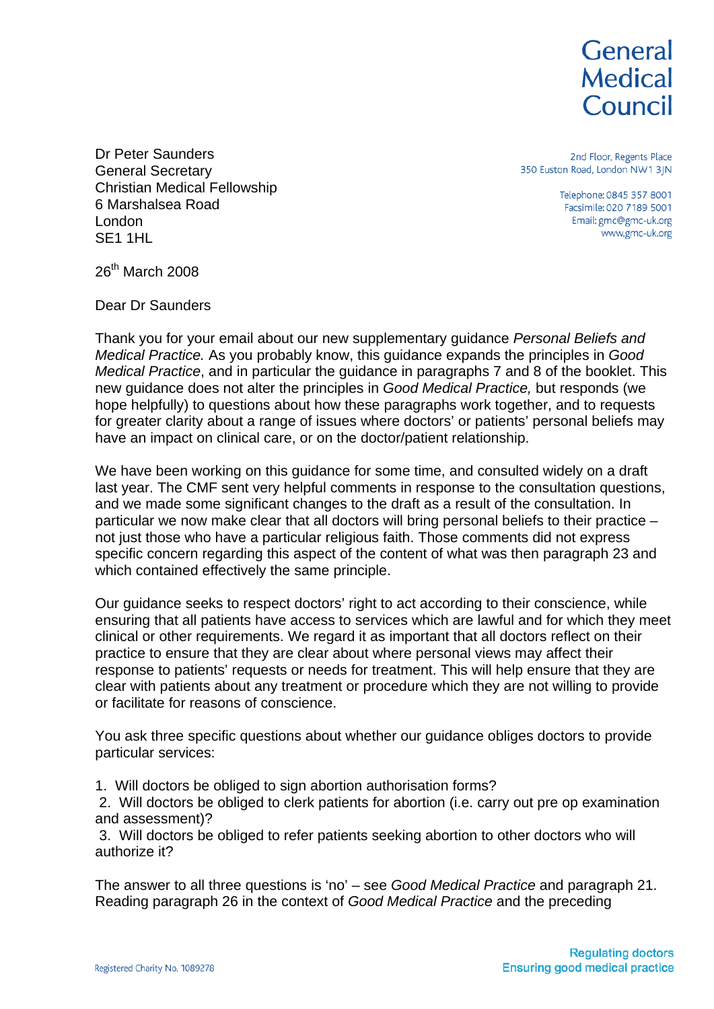

Dr Peter Saunders General Secretary Christian Medical Fellowship 6 Marshalsea Road London SE1 1HL

2nd Floor, Regents Place 350 Euston Road, London NW1 3JN

> Telephone: 0845 357 8001 Facsimile: 020 7189 5001 Email: gmc@gmc-uk.org www.gmc-uk.org

26th March 2008

Dear Dr Saunders

Thank you for your email about our new supplementary guidance *Personal Beliefs and Medical Practice.* As you probably know, this guidance expands the principles in *Good Medical Practice*, and in particular the guidance in paragraphs 7 and 8 of the booklet. This new guidance does not alter the principles in *Good Medical Practice,* but responds (we hope helpfully) to questions about how these paragraphs work together, and to requests for greater clarity about a range of issues where doctors' or patients' personal beliefs may have an impact on clinical care, or on the doctor/patient relationship.

We have been working on this guidance for some time, and consulted widely on a draft last year. The CMF sent very helpful comments in response to the consultation questions, and we made some significant changes to the draft as a result of the consultation. In particular we now make clear that all doctors will bring personal beliefs to their practice – not just those who have a particular religious faith. Those comments did not express specific concern regarding this aspect of the content of what was then paragraph 23 and which contained effectively the same principle.

Our guidance seeks to respect doctors' right to act according to their conscience, while ensuring that all patients have access to services which are lawful and for which they meet clinical or other requirements. We regard it as important that all doctors reflect on their practice to ensure that they are clear about where personal views may affect their response to patients' requests or needs for treatment. This will help ensure that they are clear with patients about any treatment or procedure which they are not willing to provide or facilitate for reasons of conscience.

You ask three specific questions about whether our guidance obliges doctors to provide particular services:

1. Will doctors be obliged to sign abortion authorisation forms?

 2. Will doctors be obliged to clerk patients for abortion (i.e. carry out pre op examination and assessment)?

 3. Will doctors be obliged to refer patients seeking abortion to other doctors who will authorize it?

The answer to all three questions is 'no' – see *Good Medical Practice* and paragraph 21. Reading paragraph 26 in the context of *Good Medical Practice* and the preceding